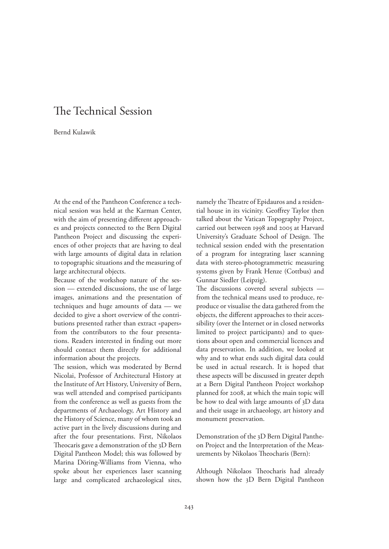## The Technical Session

Bernd Kulawik

At the end of the Pantheon Conference a technical session was held at the Karman Center, with the aim of presenting different approaches and projects connected to the Bern Digital Pantheon Project and discussing the experiences of other projects that are having to deal with large amounts of digital data in relation to topographic situations and the measuring of large architectural objects.

Because of the workshop nature of the session — extended discussions, the use of large images, animations and the presentation of techniques and huge amounts of data — we decided to give a short overview of the contributions presented rather than extract «papers» from the contributors to the four presentations. Readers interested in finding out more should contact them directly for additional information about the projects.

The session, which was moderated by Bernd Nicolai, Professor of Architectural History at the Institute of Art History, University of Bern, was well attended and comprised participants from the conference as well as guests from the departments of Archaeology, Art History and the History of Science, many of whom took an active part in the lively discussions during and after the four presentations. First, Nikolaos Theocaris gave a demonstration of the 3D Bern Digital Pantheon Model; this was followed by Marina Döring-Williams from Vienna, who spoke about her experiences laser scanning large and complicated archaeological sites,

namely the Theatre of Epidauros and a residential house in its vicinity. Geoffrey Taylor then talked about the Vatican Topography Project, carried out between 1998 and 2005 at Harvard University's Graduate School of Design. The technical session ended with the presentation of a program for integrating laser scanning data with stereo-photogrammetric measuring systems given by Frank Henze (Cottbus) and Gunnar Siedler (Leipzig).

The discussions covered several subjects from the technical means used to produce, reproduce or visualise the data gathered from the objects, the different approaches to their accessibility (over the Internet or in closed networks limited to project participants) and to questions about open and commercial licences and data preservation. In addition, we looked at why and to what ends such digital data could be used in actual research. It is hoped that these aspects will be discussed in greater depth at a Bern Digital Pantheon Project workshop planned for 2008, at which the main topic will be how to deal with large amounts of 3D data and their usage in archaeology, art history and monument preservation.

Demonstration of the 3D Bern Digital Pantheon Project and the Interpretation of the Measurements by Nikolaos Theocharis (Bern):

Although Nikolaos Theocharis had already shown how the 3D Bern Digital Pantheon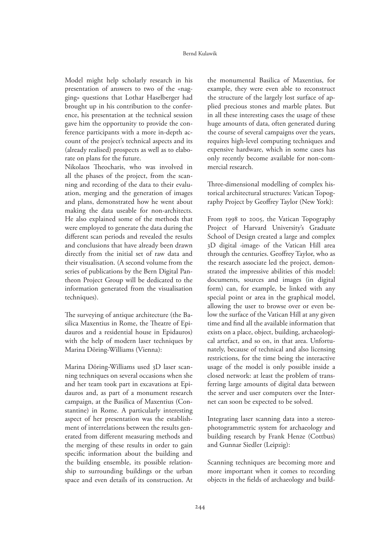Model might help scholarly research in his presentation of answers to two of the «nagging» questions that Lothar Haselberger had brought up in his contribution to the conference, his presentation at the technical session gave him the opportunity to provide the conference participants with a more in-depth account of the project's technical aspects and its (already realised) prospects as well as to elaborate on plans for the future.

Nikolaos Theocharis, who was involved in all the phases of the project, from the scanning and recording of the data to their evaluation, merging and the generation of images and plans, demonstrated how he went about making the data useable for non-architects. He also explained some of the methods that were employed to generate the data during the different scan periods and revealed the results and conclusions that have already been drawn directly from the initial set of raw data and their visualisation. (A second volume from the series of publications by the Bern Digital Pantheon Project Group will be dedicated to the information generated from the visualisation techniques).

The surveying of antique architecture (the Basilica Maxentius in Rome, the Theatre of Epidauros and a residential house in Epidauros) with the help of modern laser techniques by Marina Döring-Williams (Vienna):

Marina Döring-Williams used 3D laser scanning techniques on several occasions when she and her team took part in excavations at Epidauros and, as part of a monument research campaign, at the Basilica of Maxentius (Constantine) in Rome. A particularly interesting aspect of her presentation was the establishment of interrelations between the results generated from different measuring methods and the merging of these results in order to gain specific information about the building and the building ensemble, its possible relationship to surrounding buildings or the urban space and even details of its construction. At the monumental Basilica of Maxentius, for example, they were even able to reconstruct the structure of the largely lost surface of applied precious stones and marble plates. But in all these interesting cases the usage of these huge amounts of data, often generated during the course of several campaigns over the years, requires high-level computing techniques and expensive hardware, which in some cases has only recently become available for non-commercial research.

Three-dimensional modelling of complex historical architectural structures: Vatican Topography Project by Geoffrey Taylor (New York):

From 1998 to 2005, the Vatican Topography Project of Harvard University's Graduate School of Design created a large and complex 3D digital ‹image› of the Vatican Hill area through the centuries. Geoffrey Taylor, who as the research associate led the project, demonstrated the impressive abilities of this model: documents, sources and images (in digital form) can, for example, be linked with any special point or area in the graphical model, allowing the user to browse over or even below the surface of the Vatican Hill at any given time and find all the available information that exists on a place, object, building, archaeological artefact, and so on, in that area. Unfortunately, because of technical and also licensing restrictions, for the time being the interactive usage of the model is only possible inside a closed network: at least the problem of transferring large amounts of digital data between the server and user computers over the Internet can soon be expected to be solved.

Integrating laser scanning data into a stereophotogrammetric system for archaeology and building research by Frank Henze (Cottbus) and Gunnar Siedler (Leipzig):

Scanning techniques are becoming more and more important when it comes to recording objects in the fields of archaeology and build